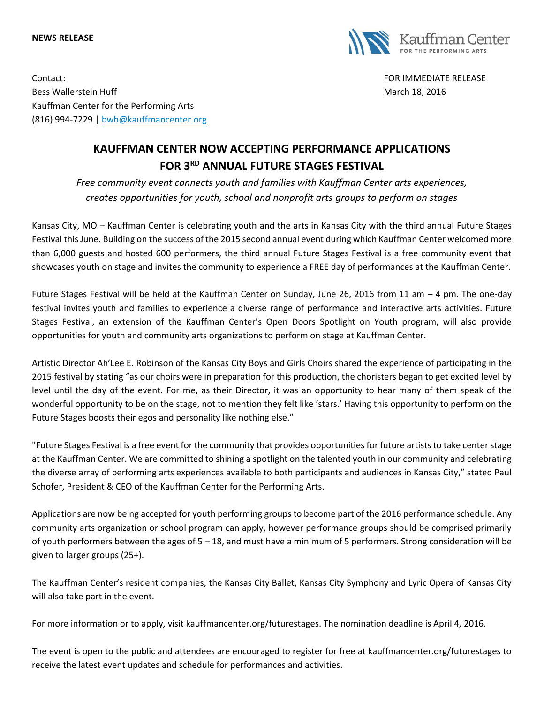## **NEWS RELEASE**



Contact: FOR IMMEDIATE RELEASE Bess Wallerstein Huff March 18, 2016 Kauffman Center for the Performing Arts (816) 994-7229 | [bwh@kauffmancenter.org](mailto:bwh@kauffmancenter.org)

## **KAUFFMAN CENTER NOW ACCEPTING PERFORMANCE APPLICATIONS FOR 3RD ANNUAL FUTURE STAGES FESTIVAL**

*Free community event connects youth and families with Kauffman Center arts experiences, creates opportunities for youth, school and nonprofit arts groups to perform on stages*

Kansas City, MO – Kauffman Center is celebrating youth and the arts in Kansas City with the third annual Future Stages Festival this June. Building on the success of the 2015 second annual event during which Kauffman Center welcomed more than 6,000 guests and hosted 600 performers, the third annual Future Stages Festival is a free community event that showcases youth on stage and invites the community to experience a FREE day of performances at the Kauffman Center.

Future Stages Festival will be held at the Kauffman Center on Sunday, June 26, 2016 from 11 am – 4 pm. The one-day festival invites youth and families to experience a diverse range of performance and interactive arts activities. Future Stages Festival, an extension of the Kauffman Center's Open Doors Spotlight on Youth program, will also provide opportunities for youth and community arts organizations to perform on stage at Kauffman Center.

Artistic Director Ah'Lee E. Robinson of the Kansas City Boys and Girls Choirs shared the experience of participating in the 2015 festival by stating "as our choirs were in preparation for this production, the choristers began to get excited level by level until the day of the event. For me, as their Director, it was an opportunity to hear many of them speak of the wonderful opportunity to be on the stage, not to mention they felt like 'stars.' Having this opportunity to perform on the Future Stages boosts their egos and personality like nothing else."

"Future Stages Festival is a free event for the community that provides opportunities for future artists to take center stage at the Kauffman Center. We are committed to shining a spotlight on the talented youth in our community and celebrating the diverse array of performing arts experiences available to both participants and audiences in Kansas City," stated Paul Schofer, President & CEO of the Kauffman Center for the Performing Arts.

Applications are now being accepted for youth performing groups to become part of the 2016 performance schedule. Any community arts organization or school program can apply, however performance groups should be comprised primarily of youth performers between the ages of 5 – 18, and must have a minimum of 5 performers. Strong consideration will be given to larger groups (25+).

The Kauffman Center's resident companies, the Kansas City Ballet, Kansas City Symphony and Lyric Opera of Kansas City will also take part in the event.

For more information or to apply, visit kauffmancenter.org/futurestages. The nomination deadline is April 4, 2016.

The event is open to the public and attendees are encouraged to register for free at kauffmancenter.org/futurestages to receive the latest event updates and schedule for performances and activities.